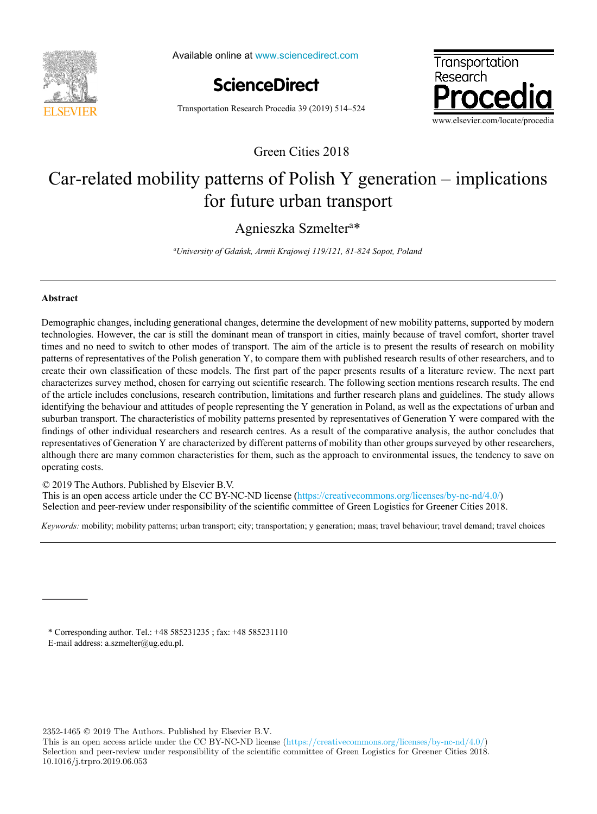

Available online at www.sciencedirect.com



Transportation Research Procedia 39 (2019) 514–524



Green Cities 2018

# $C_{\text{c}}$  related mobility patterns of  $D$  dial  $X$  generation – implications Car-related mobility patterns of Polish Y generation – implications for future urban transport

# *University of Gdańsk, Armii Krajowej 119/121, 81-824 Sopot, Poland* Agnieszka Szmelter<sup>a\*</sup>

*a University of Gdańsk, Armii Krajowej 119/121, 81-824 Sopot, Poland*

# **Abstract**

Demographic changes, including generational changes, determine the development of new mobility patterns, supported by modern technologies. However, the car is still the dominant mean of transport in cities, mainly because of travel comfort, shorter travel times and no need to switch to other modes of transport. The aim of the article is to present the results of research on mobility patterns of representatives of the Polish generation Y, to compare them with published research results of other researchers, and to patterns of representatives of the Polish generation Y, to compare them with published research results of other researchers, and to<br>create their own classification of these models. The first part of the paper presents res characterizes survey method, chosen for carrying out scientific research. The following section mentions research results. The end of the article includes conclusions, research contribution, limitations and further research plans and guidelines. The study allows of the article includes conclusions, research contribution, limitations and further research plans and guidelines. The study allows<br>identifying the behaviour and attitudes of people representing the Y generation in Poland, suburban transport. The characteristics of mobility patterns presented by representatives of Generation Y were compared with the findings of other individual researchers and research centres. As a result of the comparative analysis, the author concludes that findings of other individual researchers and research centres. As a result of the comparative analysis, the author concludes that<br>representatives of Generation Y are characterized by different patterns of mobility than oth although there are many common characteristics for them, such as the approach to environmental issues, the tendency to save on operating costs.

© 2019 The Authors. Published by Elsevier B.V. © 2018 The Authors. Published by Elsevier B.V.

 $\approx$  2017 The Additions. The mission by Eisevict B.V.<br>This is an open access article under the CC BY-NC-ND license (https://creativecommons.org/licenses/by-nc-nd/4.0/) Selection and peer-review under responsibility of the scientific committee of Green Logistics for Greener Cities 2018. Selection and peer-review under responsibility of the scientific committee of Green Logistics for Greener Cities 2018.

*Keywords:* mobility; mobility patterns; urban transport; city; transportation; y generation; maas; travel behaviour; travel demand; travel choices *Keywords:* mobility; mobility patterns; urban transport; city; transportation; y generation; maas; travel behaviour; travel demand; travel choices

\* Corresponding author. Tel.: +48 585231235 ; fax: +48 585231110 E-mail address: a.szmelter@ug.edu.pl.

2352-1465 2019 The Authors. Published by Elsevier B.V.

This is an open access article under the CC BY-NC-ND license (https://creativecommons.org/licenses/by-nc-nd/4.0/) Selection and peer-review under responsibility of the scientific committee of Green Logistics for Greener Cities 2018. 10.1016/j.trpro.2019.06.053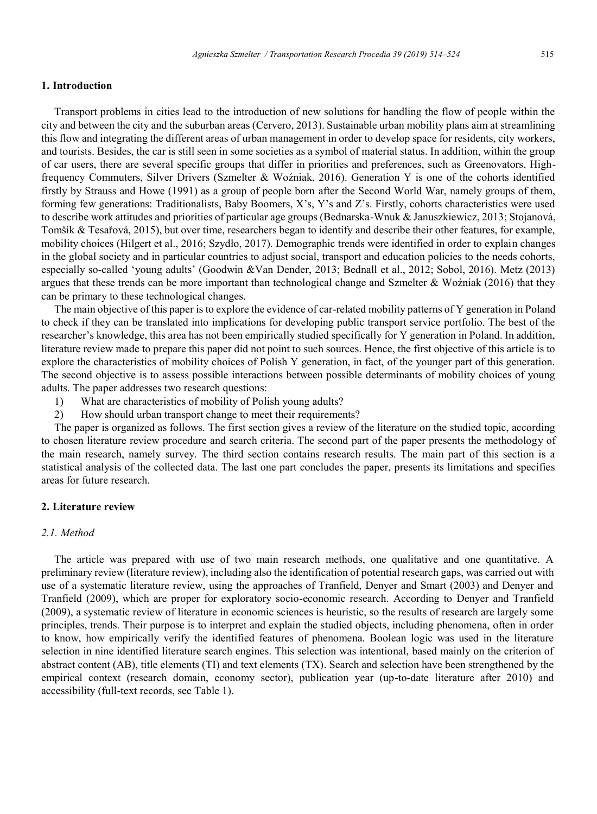# **1. Introduction**

Transport problems in cities lead to the introduction of new solutions for handling the flow of people within the city and between the city and the suburban areas (Cervero, 2013). Sustainable urban mobility plans aim at streamlining this flow and integrating the different areas of urban management in order to develop space for residents, city workers, and tourists. Besides, the car is still seen in some societies as a symbol of material status. In addition, within the group of car users, there are several specific groups that differ in priorities and preferences, such as Greenovators, Highfrequency Commuters, Silver Drivers (Szmelter & Woźniak, 2016). Generation Y is one of the cohorts identified firstly by Strauss and Howe (1991) as a group of people born after the Second World War, namely groups of them, forming few generations: Traditionalists, Baby Boomers, X's, Y's and Z's. Firstly, cohorts characteristics were used to describe work attitudes and priorities of particular age groups (Bednarska-Wnuk & Januszkiewicz, 2013; Stojanová, Tomšík & Tesařová, 2015), but over time, researchers began to identify and describe their other features, for example, mobility choices (Hilgert et al., 2016; Szydło, 2017). Demographic trends were identified in order to explain changes in the global society and in particular countries to adjust social, transport and education policies to the needs cohorts, especially so-called 'young adults' (Goodwin &Van Dender, 2013; Bednall et al., 2012; Sobol, 2016). Metz (2013) argues that these trends can be more important than technological change and Szmelter & Woźniak (2016) that they can be primary to these technological changes.

The main objective of this paper is to explore the evidence of car-related mobility patterns of Y generation in Poland to check if they can be translated into implications for developing public transport service portfolio. The best of the researcher's knowledge, this area has not been empirically studied specifically for Y generation in Poland. In addition, literature review made to prepare this paper did not point to such sources. Hence, the first objective of this article is to explore the characteristics of mobility choices of Polish Y generation, in fact, of the younger part of this generation. The second objective is to assess possible interactions between possible determinants of mobility choices of young adults. The paper addresses two research questions:

- 1) What are characteristics of mobility of Polish young adults?
- 2) How should urban transport change to meet their requirements?

The paper is organized as follows. The first section gives a review of the literature on the studied topic, according to chosen literature review procedure and search criteria. The second part of the paper presents the methodology of the main research, namely survey. The third section contains research results. The main part of this section is a statistical analysis of the collected data. The last one part concludes the paper, presents its limitations and specifies areas for future research.

# **2. Literature review**

# *2.1. Method*

The article was prepared with use of two main research methods, one qualitative and one quantitative. A preliminary review (literature review), including also the identification of potential research gaps, was carried out with use of a systematic literature review, using the approaches of Tranfield, Denyer and Smart (2003) and Denyer and Tranfield (2009), which are proper for exploratory socio-economic research. According to Denyer and Tranfield (2009), a systematic review of literature in economic sciences is heuristic, so the results of research are largely some principles, trends. Their purpose is to interpret and explain the studied objects, including phenomena, often in order to know, how empirically verify the identified features of phenomena. Boolean logic was used in the literature selection in nine identified literature search engines. This selection was intentional, based mainly on the criterion of abstract content (AB), title elements (TI) and text elements (TX). Search and selection have been strengthened by the empirical context (research domain, economy sector), publication year (up-to-date literature after 2010) and accessibility (full-text records, see Table 1).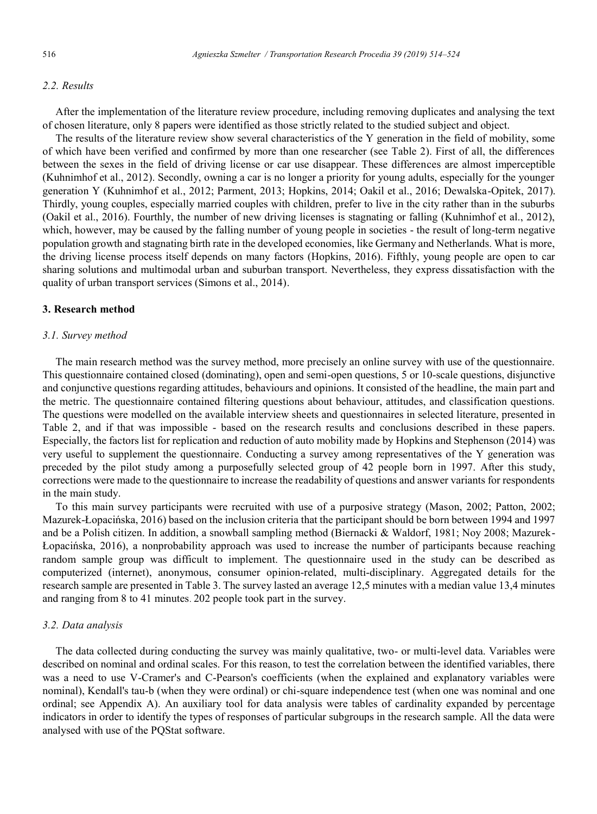# *2.2. Results*

After the implementation of the literature review procedure, including removing duplicates and analysing the text of chosen literature, only 8 papers were identified as those strictly related to the studied subject and object.

The results of the literature review show several characteristics of the Y generation in the field of mobility, some of which have been verified and confirmed by more than one researcher (see Table 2). First of all, the differences between the sexes in the field of driving license or car use disappear. These differences are almost imperceptible (Kuhnimhof et al., 2012). Secondly, owning a car is no longer a priority for young adults, especially for the younger generation Y (Kuhnimhof et al., 2012; Parment, 2013; Hopkins, 2014; Oakil et al., 2016; Dewalska-Opitek, 2017). Thirdly, young couples, especially married couples with children, prefer to live in the city rather than in the suburbs (Oakil et al., 2016). Fourthly, the number of new driving licenses is stagnating or falling (Kuhnimhof et al., 2012), which, however, may be caused by the falling number of young people in societies - the result of long-term negative population growth and stagnating birth rate in the developed economies, like Germany and Netherlands. What is more, the driving license process itself depends on many factors (Hopkins, 2016). Fifthly, young people are open to car sharing solutions and multimodal urban and suburban transport. Nevertheless, they express dissatisfaction with the quality of urban transport services (Simons et al., 2014).

# **3. Research method**

# *3.1. Survey method*

The main research method was the survey method, more precisely an online survey with use of the questionnaire. This questionnaire contained closed (dominating), open and semi-open questions, 5 or 10-scale questions, disjunctive and conjunctive questions regarding attitudes, behaviours and opinions. It consisted of the headline, the main part and the metric. The questionnaire contained filtering questions about behaviour, attitudes, and classification questions. The questions were modelled on the available interview sheets and questionnaires in selected literature, presented in Table 2, and if that was impossible - based on the research results and conclusions described in these papers. Especially, the factors list for replication and reduction of auto mobility made by Hopkins and Stephenson (2014) was very useful to supplement the questionnaire. Conducting a survey among representatives of the Y generation was preceded by the pilot study among a purposefully selected group of 42 people born in 1997. After this study, corrections were made to the questionnaire to increase the readability of questions and answer variants for respondents in the main study.

To this main survey participants were recruited with use of a purposive strategy (Mason, 2002; Patton, 2002; Mazurek-Łopacińska, 2016) based on the inclusion criteria that the participant should be born between 1994 and 1997 and be a Polish citizen. In addition, a snowball sampling method (Biernacki & Waldorf, 1981; Noy 2008; Mazurek-Łopacińska, 2016), a nonprobability approach was used to increase the number of participants because reaching random sample group was difficult to implement. The questionnaire used in the study can be described as computerized (internet), anonymous, consumer opinion-related, multi-disciplinary. Aggregated details for the research sample are presented in Table 3. The survey lasted an average 12,5 minutes with a median value 13,4 minutes and ranging from 8 to 41 minutes. 202 people took part in the survey.

# *3.2. Data analysis*

The data collected during conducting the survey was mainly qualitative, two- or multi-level data. Variables were described on nominal and ordinal scales. For this reason, to test the correlation between the identified variables, there was a need to use V-Cramer's and C-Pearson's coefficients (when the explained and explanatory variables were nominal), Kendall's tau-b (when they were ordinal) or chi-square independence test (when one was nominal and one ordinal; see Appendix A). An auxiliary tool for data analysis were tables of cardinality expanded by percentage indicators in order to identify the types of responses of particular subgroups in the research sample. All the data were analysed with use of the PQStat software.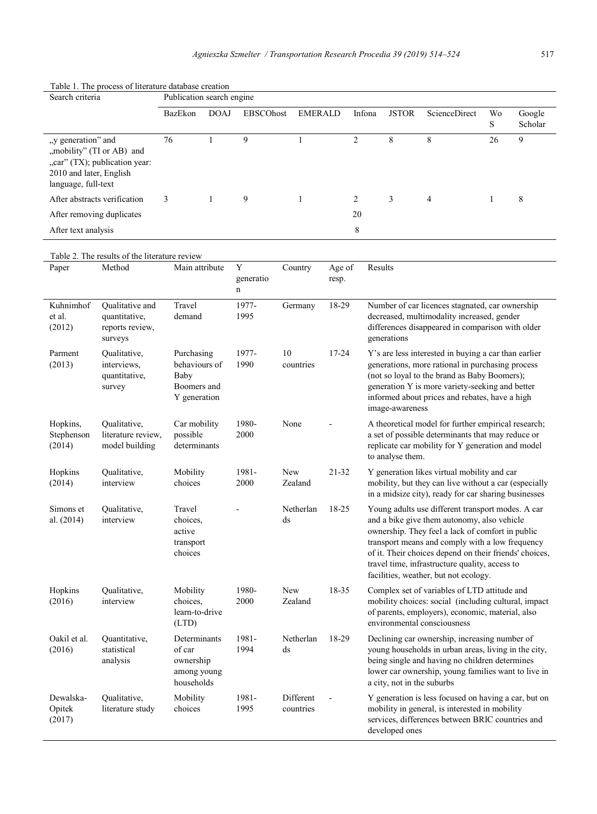| Search criteria                                                      |                                                                | Publication search engine                                          |             |                     |                        |                 |                |                            |                                                                                                                                                                                                                                                                                                                                                              |         |                   |
|----------------------------------------------------------------------|----------------------------------------------------------------|--------------------------------------------------------------------|-------------|---------------------|------------------------|-----------------|----------------|----------------------------|--------------------------------------------------------------------------------------------------------------------------------------------------------------------------------------------------------------------------------------------------------------------------------------------------------------------------------------------------------------|---------|-------------------|
|                                                                      |                                                                | <b>BazEkon</b>                                                     | <b>DOAJ</b> | <b>EBSCOhost</b>    | <b>EMERALD</b>         |                 | Infona         | <b>JSTOR</b>               | ScienceDirect                                                                                                                                                                                                                                                                                                                                                | Wo<br>S | Google<br>Scholar |
| "y generation" and<br>2010 and later, English<br>language, full-text | "mobility" (TI or AB) and<br>"car" (TX); publication year:     | 76                                                                 | 1           | 9                   | 1                      |                 | $\overline{2}$ | 8                          | 8                                                                                                                                                                                                                                                                                                                                                            | 26      | 9                 |
|                                                                      | After abstracts verification                                   | 3                                                                  | 1           | 9                   | $\mathbf{1}$           |                 | 2              | 3                          | $\overline{4}$                                                                                                                                                                                                                                                                                                                                               | 1       | 8                 |
|                                                                      | After removing duplicates                                      |                                                                    |             |                     |                        |                 | 20             |                            |                                                                                                                                                                                                                                                                                                                                                              |         |                   |
| After text analysis                                                  |                                                                |                                                                    |             |                     |                        |                 | 8              |                            |                                                                                                                                                                                                                                                                                                                                                              |         |                   |
|                                                                      | Table 2. The results of the literature review                  |                                                                    |             |                     |                        |                 |                |                            |                                                                                                                                                                                                                                                                                                                                                              |         |                   |
| Paper                                                                | Method                                                         | Main attribute                                                     |             | Y<br>generatio<br>n | Country                | Age of<br>resp. |                | Results                    |                                                                                                                                                                                                                                                                                                                                                              |         |                   |
| Kuhnimhof<br>et al.<br>(2012)                                        | Qualitative and<br>quantitative.<br>reports review,<br>surveys | Travel<br>demand                                                   |             | 1977-<br>1995       | Germany                | 18-29           |                | generations                | Number of car licences stagnated, car ownership<br>decreased, multimodality increased, gender<br>differences disappeared in comparison with older                                                                                                                                                                                                            |         |                   |
| Parment<br>(2013)                                                    | Qualitative,<br>interviews,<br>quantitative,<br>survey         | Purchasing<br>behaviours of<br>Baby<br>Boomers and<br>Y generation |             | 1977-<br>1990       | 10<br>countries        | $17 - 24$       |                | image-awareness            | Y's are less interested in buying a car than earlier<br>generations, more rational in purchasing process<br>(not so loyal to the brand as Baby Boomers);<br>generation Y is more variety-seeking and better<br>informed about prices and rebates, have a high                                                                                                |         |                   |
| Hopkins,<br>Stephenson<br>(2014)                                     | Qualitative,<br>literature review,<br>model building           | Car mobility<br>possible<br>determinants                           |             | 1980-<br>2000       | None                   |                 |                | to analyse them.           | A theoretical model for further empirical research;<br>a set of possible determinants that may reduce or<br>replicate car mobility for Y generation and model                                                                                                                                                                                                |         |                   |
| Hopkins<br>(2014)                                                    | Qualitative,<br>interview                                      | Mobility<br>choices                                                |             | 1981-<br>2000       | New<br>Zealand         | 21-32           |                |                            | Y generation likes virtual mobility and car<br>mobility, but they can live without a car (especially<br>in a midsize city), ready for car sharing businesses                                                                                                                                                                                                 |         |                   |
| Simons et<br>al. (2014)                                              | Qualitative,<br>interview                                      | Travel<br>choices.<br>active<br>transport<br>choices               |             |                     | Netherlan<br>ds        | 18-25           |                |                            | Young adults use different transport modes. A car<br>and a bike give them autonomy, also vehicle<br>ownership. They feel a lack of comfort in public<br>transport means and comply with a low frequency<br>of it. Their choices depend on their friends' choices,<br>travel time, infrastructure quality, access to<br>facilities, weather, but not ecology. |         |                   |
| Hopkins<br>(2016)                                                    | Qualitative,<br>interview                                      | Mobility<br>choices,<br>learn-to-drive<br>(LTD)                    |             | 1980-<br>2000       | New<br>Zealand         | 18-35           |                |                            | Complex set of variables of LTD attitude and<br>mobility choices: social (including cultural, impact<br>of parents, employers), economic, material, also<br>environmental consciousness                                                                                                                                                                      |         |                   |
| Oakil et al.<br>(2016)                                               | Quantitative,<br>statistical<br>analysis                       | Determinants<br>of car<br>ownership<br>among young<br>households   |             | 1981-<br>1994       | Netherlan<br>ds        | 18-29           |                | a city, not in the suburbs | Declining car ownership, increasing number of<br>young households in urban areas, living in the city,<br>being single and having no children determines<br>lower car ownership, young families want to live in                                                                                                                                               |         |                   |
| Dewalska-<br>Opitek<br>(2017)                                        | Qualitative,<br>literature study                               | Mobility<br>choices                                                |             | 1981-<br>1995       | Different<br>countries |                 |                | developed ones             | Y generation is less focused on having a car, but on<br>mobility in general, is interested in mobility<br>services, differences between BRIC countries and                                                                                                                                                                                                   |         |                   |

### Table 1. The process of literature database creation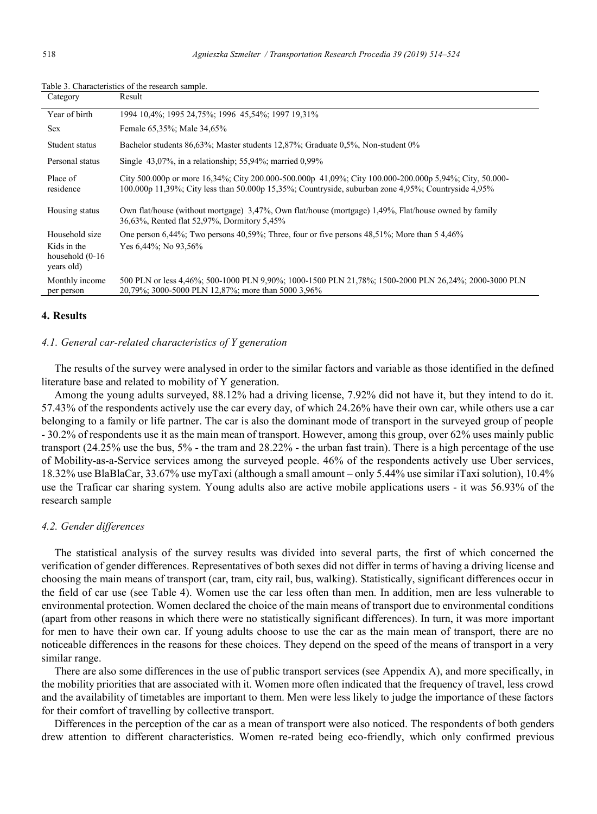| Category                                                          | Result                                                                                                                                                                                                        |
|-------------------------------------------------------------------|---------------------------------------------------------------------------------------------------------------------------------------------------------------------------------------------------------------|
| Year of birth                                                     | 1994 10.4%; 1995 24.75%; 1996 45.54%; 1997 19.31%                                                                                                                                                             |
| <b>Sex</b>                                                        | Female 65,35%; Male 34,65%                                                                                                                                                                                    |
| Student status                                                    | Bachelor students 86,63%; Master students 12,87%; Graduate 0,5%, Non-student 0%                                                                                                                               |
| Personal status                                                   | Single $43,07\%$ , in a relationship; 55,94%; married 0,99%                                                                                                                                                   |
| Place of<br>residence                                             | City 500.000p or more 16,34%; City 200.000-500.000p 41,09%; City 100.000-200.000p 5,94%; City, 50.000-<br>100.000p 11,39%; City less than 50.000p 15,35%; Countryside, suburban zone 4,95%; Countryside 4,95% |
| Housing status                                                    | Own flat/house (without mortgage) 3,47%, Own flat/house (mortgage) 1,49%, Flat/house owned by family<br>36,63%, Rented flat 52,97%, Dormitory 5,45%                                                           |
| Household size<br>Kids in the<br>household $(0-16)$<br>years old) | One person 6,44%; Two persons 40,59%; Three, four or five persons 48,51%; More than 5 4,46%<br>Yes 6,44%; No 93,56%                                                                                           |
| Monthly income<br>per person                                      | 500 PLN or less 4,46%; 500-1000 PLN 9,90%; 1000-1500 PLN 21,78%; 1500-2000 PLN 26,24%; 2000-3000 PLN<br>20,79%; 3000-5000 PLN 12,87%; more than 5000 3,96%                                                    |

Table 3. Characteristics of the research sample.

## **4. Results**

# *4.1. General car-related characteristics of Y generation*

The results of the survey were analysed in order to the similar factors and variable as those identified in the defined literature base and related to mobility of Y generation.

Among the young adults surveyed, 88.12% had a driving license, 7.92% did not have it, but they intend to do it. 57.43% of the respondents actively use the car every day, of which 24.26% have their own car, while others use a car belonging to a family or life partner. The car is also the dominant mode of transport in the surveyed group of people - 30.2% of respondents use it as the main mean of transport. However, among this group, over 62% uses mainly public transport (24.25% use the bus, 5% - the tram and 28.22% - the urban fast train). There is a high percentage of the use of Mobility-as-a-Service services among the surveyed people. 46% of the respondents actively use Uber services, 18.32% use BlaBlaCar, 33.67% use myTaxi (although a small amount – only 5.44% use similar iTaxi solution), 10.4% use the Traficar car sharing system. Young adults also are active mobile applications users - it was 56.93% of the research sample

# *4.2. Gender differences*

The statistical analysis of the survey results was divided into several parts, the first of which concerned the verification of gender differences. Representatives of both sexes did not differ in terms of having a driving license and choosing the main means of transport (car, tram, city rail, bus, walking). Statistically, significant differences occur in the field of car use (see Table 4). Women use the car less often than men. In addition, men are less vulnerable to environmental protection. Women declared the choice of the main means of transport due to environmental conditions (apart from other reasons in which there were no statistically significant differences). In turn, it was more important for men to have their own car. If young adults choose to use the car as the main mean of transport, there are no noticeable differences in the reasons for these choices. They depend on the speed of the means of transport in a very similar range.

There are also some differences in the use of public transport services (see Appendix A), and more specifically, in the mobility priorities that are associated with it. Women more often indicated that the frequency of travel, less crowd and the availability of timetables are important to them. Men were less likely to judge the importance of these factors for their comfort of travelling by collective transport.

Differences in the perception of the car as a mean of transport were also noticed. The respondents of both genders drew attention to different characteristics. Women re-rated being eco-friendly, which only confirmed previous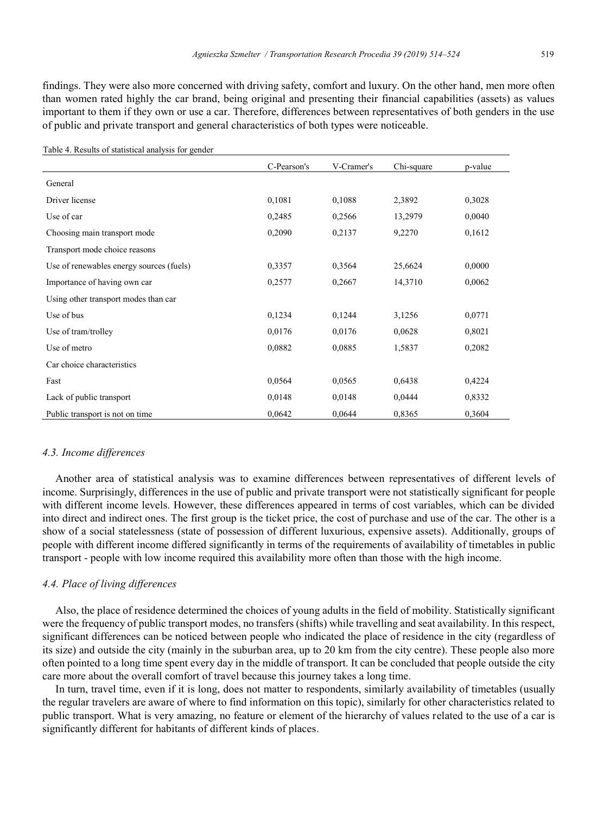findings. They were also more concerned with driving safety, comfort and luxury. On the other hand, men more often than women rated highly the car brand, being original and presenting their financial capabilities (assets) as values important to them if they own or use a car. Therefore, differences between representatives of both genders in the use of public and private transport and general characteristics of both types were noticeable.

| Table 4. Results of statistical analysis for genuer |             |            |            |         |
|-----------------------------------------------------|-------------|------------|------------|---------|
|                                                     | C-Pearson's | V-Cramer's | Chi-square | p-value |
| General                                             |             |            |            |         |
| Driver license                                      | 0,1081      | 0,1088     | 2,3892     | 0,3028  |
| Use of car                                          | 0,2485      | 0,2566     | 13,2979    | 0,0040  |
| Choosing main transport mode                        | 0,2090      | 0,2137     | 9,2270     | 0,1612  |
| Transport mode choice reasons                       |             |            |            |         |
| Use of renewables energy sources (fuels)            | 0,3357      | 0,3564     | 25,6624    | 0,0000  |
| Importance of having own car                        | 0,2577      | 0,2667     | 14,3710    | 0,0062  |
| Using other transport modes than car                |             |            |            |         |
| Use of bus                                          | 0,1234      | 0,1244     | 3,1256     | 0,0771  |
| Use of tram/trolley                                 | 0,0176      | 0,0176     | 0,0628     | 0,8021  |
| Use of metro                                        | 0,0882      | 0,0885     | 1,5837     | 0,2082  |
| Car choice characteristics                          |             |            |            |         |
| Fast                                                | 0,0564      | 0.0565     | 0,6438     | 0,4224  |
| Lack of public transport                            | 0,0148      | 0,0148     | 0,0444     | 0,8332  |
| Public transport is not on time                     | 0,0642      | 0,0644     | 0,8365     | 0,3604  |

Table 4. Results of statistical analysis for gender

# *4.3. Income differences*

Another area of statistical analysis was to examine differences between representatives of different levels of income. Surprisingly, differences in the use of public and private transport were not statistically significant for people with different income levels. However, these differences appeared in terms of cost variables, which can be divided into direct and indirect ones. The first group is the ticket price, the cost of purchase and use of the car. The other is a show of a social statelessness (state of possession of different luxurious, expensive assets). Additionally, groups of people with different income differed significantly in terms of the requirements of availability of timetables in public transport - people with low income required this availability more often than those with the high income.

# *4.4. Place of living differences*

Also, the place of residence determined the choices of young adults in the field of mobility. Statistically significant were the frequency of public transport modes, no transfers (shifts) while travelling and seat availability. In this respect, significant differences can be noticed between people who indicated the place of residence in the city (regardless of its size) and outside the city (mainly in the suburban area, up to 20 km from the city centre). These people also more often pointed to a long time spent every day in the middle of transport. It can be concluded that people outside the city care more about the overall comfort of travel because this journey takes a long time.

In turn, travel time, even if it is long, does not matter to respondents, similarly availability of timetables (usually the regular travelers are aware of where to find information on this topic), similarly for other characteristics related to public transport. What is very amazing, no feature or element of the hierarchy of values related to the use of a car is significantly different for habitants of different kinds of places.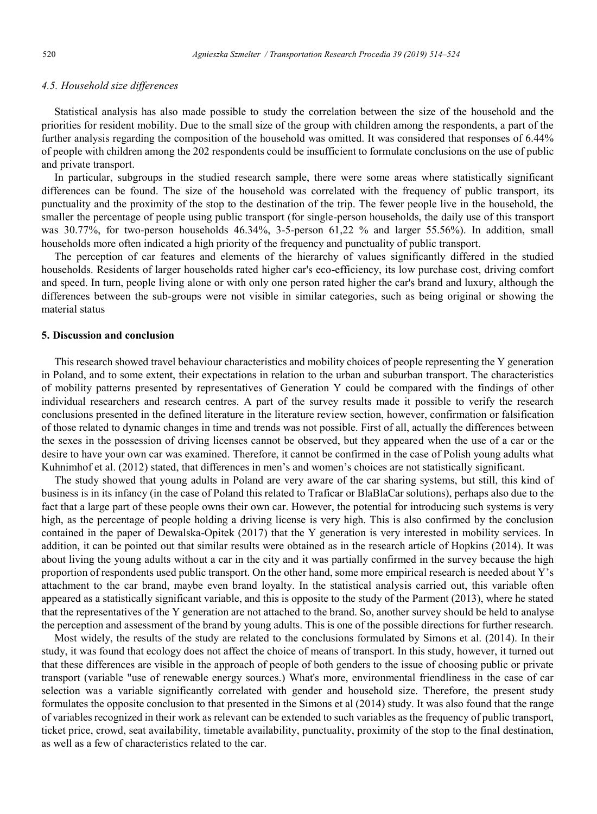# *4.5. Household size differences*

Statistical analysis has also made possible to study the correlation between the size of the household and the priorities for resident mobility. Due to the small size of the group with children among the respondents, a part of the further analysis regarding the composition of the household was omitted. It was considered that responses of 6.44% of people with children among the 202 respondents could be insufficient to formulate conclusions on the use of public and private transport.

In particular, subgroups in the studied research sample, there were some areas where statistically significant differences can be found. The size of the household was correlated with the frequency of public transport, its punctuality and the proximity of the stop to the destination of the trip. The fewer people live in the household, the smaller the percentage of people using public transport (for single-person households, the daily use of this transport was 30.77%, for two-person households 46.34%, 3-5-person 61,22 % and larger 55.56%). In addition, small households more often indicated a high priority of the frequency and punctuality of public transport.

The perception of car features and elements of the hierarchy of values significantly differed in the studied households. Residents of larger households rated higher car's eco-efficiency, its low purchase cost, driving comfort and speed. In turn, people living alone or with only one person rated higher the car's brand and luxury, although the differences between the sub-groups were not visible in similar categories, such as being original or showing the material status

# **5. Discussion and conclusion**

This research showed travel behaviour characteristics and mobility choices of people representing the Y generation in Poland, and to some extent, their expectations in relation to the urban and suburban transport. The characteristics of mobility patterns presented by representatives of Generation Y could be compared with the findings of other individual researchers and research centres. A part of the survey results made it possible to verify the research conclusions presented in the defined literature in the literature review section, however, confirmation or falsification of those related to dynamic changes in time and trends was not possible. First of all, actually the differences between the sexes in the possession of driving licenses cannot be observed, but they appeared when the use of a car or the desire to have your own car was examined. Therefore, it cannot be confirmed in the case of Polish young adults what Kuhnimhof et al. (2012) stated, that differences in men's and women's choices are not statistically significant.

The study showed that young adults in Poland are very aware of the car sharing systems, but still, this kind of business is in its infancy (in the case of Poland this related to Traficar or BlaBlaCar solutions), perhaps also due to the fact that a large part of these people owns their own car. However, the potential for introducing such systems is very high, as the percentage of people holding a driving license is very high. This is also confirmed by the conclusion contained in the paper of Dewalska-Opitek (2017) that the Y generation is very interested in mobility services. In addition, it can be pointed out that similar results were obtained as in the research article of Hopkins (2014). It was about living the young adults without a car in the city and it was partially confirmed in the survey because the high proportion of respondents used public transport. On the other hand, some more empirical research is needed about Y's attachment to the car brand, maybe even brand loyalty. In the statistical analysis carried out, this variable often appeared as a statistically significant variable, and this is opposite to the study of the Parment (2013), where he stated that the representatives of the Y generation are not attached to the brand. So, another survey should be held to analyse the perception and assessment of the brand by young adults. This is one of the possible directions for further research.

Most widely, the results of the study are related to the conclusions formulated by Simons et al. (2014). In their study, it was found that ecology does not affect the choice of means of transport. In this study, however, it turned out that these differences are visible in the approach of people of both genders to the issue of choosing public or private transport (variable "use of renewable energy sources.) What's more, environmental friendliness in the case of car selection was a variable significantly correlated with gender and household size. Therefore, the present study formulates the opposite conclusion to that presented in the Simons et al (2014) study. It was also found that the range of variables recognized in their work as relevant can be extended to such variables as the frequency of public transport, ticket price, crowd, seat availability, timetable availability, punctuality, proximity of the stop to the final destination, as well as a few of characteristics related to the car.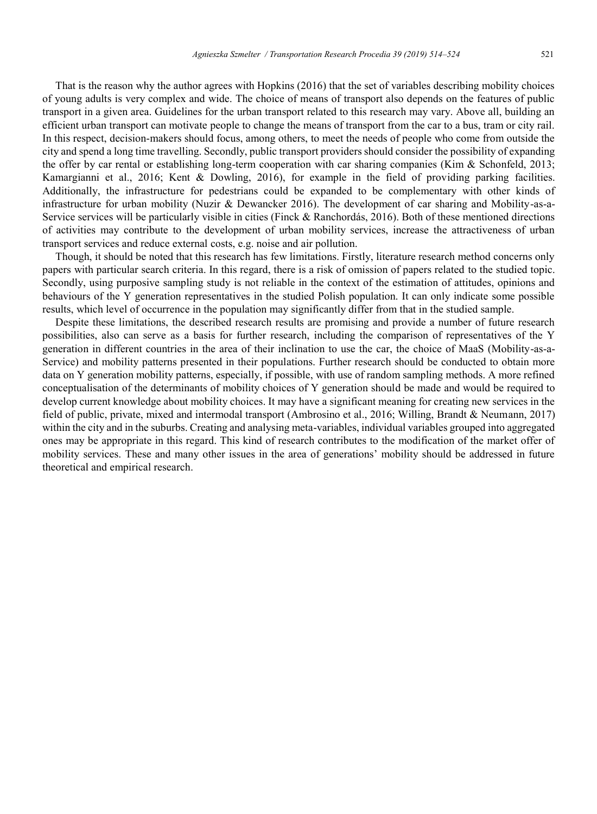That is the reason why the author agrees with Hopkins (2016) that the set of variables describing mobility choices of young adults is very complex and wide. The choice of means of transport also depends on the features of public transport in a given area. Guidelines for the urban transport related to this research may vary. Above all, building an efficient urban transport can motivate people to change the means of transport from the car to a bus, tram or city rail. In this respect, decision-makers should focus, among others, to meet the needs of people who come from outside the city and spend a long time travelling. Secondly, public transport providers should consider the possibility of expanding the offer by car rental or establishing long-term cooperation with car sharing companies (Kim & Schonfeld, 2013; Kamargianni et al., 2016; Kent & Dowling, 2016), for example in the field of providing parking facilities. Additionally, the infrastructure for pedestrians could be expanded to be complementary with other kinds of infrastructure for urban mobility (Nuzir & Dewancker 2016). The development of car sharing and Mobility-as-a-Service services will be particularly visible in cities (Finck & Ranchordás, 2016). Both of these mentioned directions of activities may contribute to the development of urban mobility services, increase the attractiveness of urban transport services and reduce external costs, e.g. noise and air pollution.

Though, it should be noted that this research has few limitations. Firstly, literature research method concerns only papers with particular search criteria. In this regard, there is a risk of omission of papers related to the studied topic. Secondly, using purposive sampling study is not reliable in the context of the estimation of attitudes, opinions and behaviours of the Y generation representatives in the studied Polish population. It can only indicate some possible results, which level of occurrence in the population may significantly differ from that in the studied sample.

Despite these limitations, the described research results are promising and provide a number of future research possibilities, also can serve as a basis for further research, including the comparison of representatives of the Y generation in different countries in the area of their inclination to use the car, the choice of MaaS (Mobility-as-a-Service) and mobility patterns presented in their populations. Further research should be conducted to obtain more data on Y generation mobility patterns, especially, if possible, with use of random sampling methods. A more refined conceptualisation of the determinants of mobility choices of Y generation should be made and would be required to develop current knowledge about mobility choices. It may have a significant meaning for creating new services in the field of public, private, mixed and intermodal transport (Ambrosino et al., 2016; Willing, Brandt & Neumann, 2017) within the city and in the suburbs. Creating and analysing meta-variables, individual variables grouped into aggregated ones may be appropriate in this regard. This kind of research contributes to the modification of the market offer of mobility services. These and many other issues in the area of generations' mobility should be addressed in future theoretical and empirical research.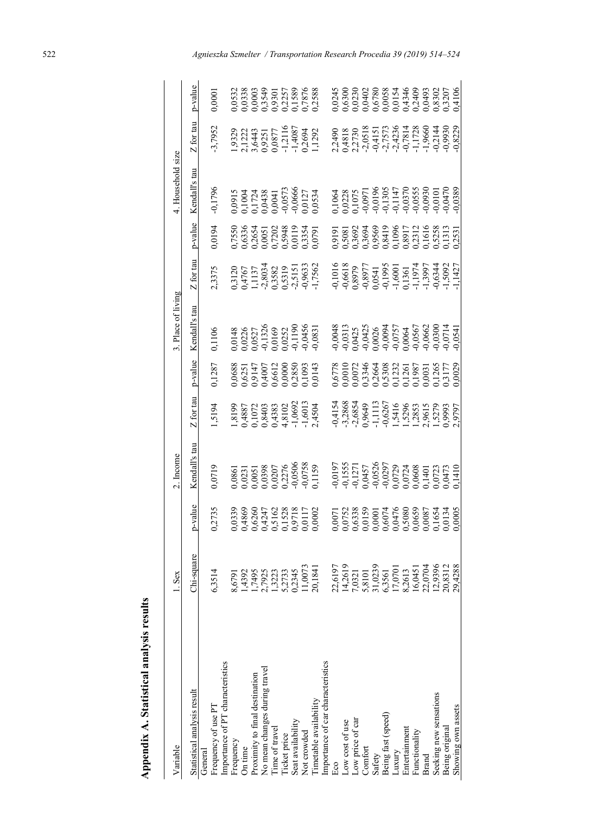| Variable                          | 1. Sex                                                                     |                                                                                                        | 2. Income                                                           |                                                                   |         | 3. Place of living                                                |                                                                                          |                                                           | 4. Household size |                                                                     |                                                                            |
|-----------------------------------|----------------------------------------------------------------------------|--------------------------------------------------------------------------------------------------------|---------------------------------------------------------------------|-------------------------------------------------------------------|---------|-------------------------------------------------------------------|------------------------------------------------------------------------------------------|-----------------------------------------------------------|-------------------|---------------------------------------------------------------------|----------------------------------------------------------------------------|
| Statistical analysis result       | juare<br>$Chi$ -sq                                                         | p-value                                                                                                | $\mathbf{a}$<br>Kendall's                                           | Z for tau                                                         | p-value | Kendall's tau                                                     | Z for tau                                                                                | p-value                                                   | Kendall's tau     | Z for tau                                                           | p-value                                                                    |
| General                           |                                                                            |                                                                                                        |                                                                     |                                                                   |         |                                                                   |                                                                                          |                                                           |                   |                                                                     |                                                                            |
| Frequency of use PT               | 6,3514                                                                     | 0,2735                                                                                                 | 0719                                                                | 5194                                                              | ,1287   | 1106                                                              | ,3375                                                                                    | 94.0194                                                   | 0,1796            | 3,7952                                                              | 1,000                                                                      |
| Importance of PT characteristics  |                                                                            |                                                                                                        |                                                                     |                                                                   |         |                                                                   |                                                                                          |                                                           |                   |                                                                     |                                                                            |
| Trequency                         | 8,6791                                                                     |                                                                                                        |                                                                     |                                                                   |         |                                                                   |                                                                                          |                                                           |                   |                                                                     |                                                                            |
| On time                           | 1,4392                                                                     |                                                                                                        |                                                                     |                                                                   |         |                                                                   |                                                                                          |                                                           |                   |                                                                     |                                                                            |
| Proximity to final destination    | 1,7495                                                                     |                                                                                                        |                                                                     |                                                                   |         |                                                                   |                                                                                          |                                                           |                   |                                                                     |                                                                            |
| No mean changes during travel     | 2,7925                                                                     |                                                                                                        |                                                                     |                                                                   |         |                                                                   |                                                                                          |                                                           |                   |                                                                     |                                                                            |
| l'ime of travel                   | 1,3223                                                                     |                                                                                                        |                                                                     |                                                                   |         |                                                                   |                                                                                          |                                                           |                   |                                                                     |                                                                            |
| licket price                      |                                                                            |                                                                                                        |                                                                     |                                                                   |         |                                                                   |                                                                                          |                                                           |                   |                                                                     |                                                                            |
| Seat availability                 | 5,2733<br>0,2345                                                           |                                                                                                        |                                                                     |                                                                   |         |                                                                   |                                                                                          |                                                           |                   |                                                                     |                                                                            |
| Not crowded                       | 11,0073                                                                    |                                                                                                        |                                                                     |                                                                   |         |                                                                   |                                                                                          |                                                           |                   |                                                                     |                                                                            |
| imetable availability             | 20,1841                                                                    | 0339<br>0.4869<br>0.6260<br>0.0117,1528<br>0.0117,1528,1717<br>0.00117,1717                            | 0,0861<br>0,0231<br>0,0051<br>0,02076<br>0,0506<br>0,0758<br>0,0758 | 1,8199<br>0,4887<br>0,1072<br>1,8102<br>1,602<br>1,4504<br>1,4504 |         | 0148<br>0,0226<br>0,0527<br>0,01326<br>0,0456<br>0,0456<br>0,0456 | 0,3120<br>0,4767<br>1,1137<br>2,8034<br>2,5151<br>2,562<br>0,9633                        | 0,755(<br>0,6336<br>0,0651<br>0,07202<br>1,0791<br>0,0791 |                   | 1,9329<br>2,1222<br>2,3,6443<br>3,9351<br>1,2116<br>1,2694<br>1,292 | 0532<br>0.033849<br>0.0003<br>0.03349<br>0.033589,03888                    |
| Importance of car characteristics |                                                                            |                                                                                                        |                                                                     |                                                                   |         |                                                                   |                                                                                          |                                                           |                   |                                                                     |                                                                            |
| Eco                               | 22,619                                                                     |                                                                                                        |                                                                     |                                                                   |         |                                                                   |                                                                                          |                                                           |                   |                                                                     |                                                                            |
| Low cost of use                   | 14,2619                                                                    |                                                                                                        |                                                                     |                                                                   |         |                                                                   |                                                                                          |                                                           |                   |                                                                     |                                                                            |
| Low price of car                  | 7,0321                                                                     |                                                                                                        |                                                                     |                                                                   |         |                                                                   |                                                                                          |                                                           |                   |                                                                     |                                                                            |
| Comfort                           | 5,8101                                                                     |                                                                                                        |                                                                     |                                                                   |         |                                                                   |                                                                                          |                                                           |                   |                                                                     |                                                                            |
| Safety                            | 31,0239                                                                    |                                                                                                        |                                                                     |                                                                   |         |                                                                   |                                                                                          |                                                           |                   |                                                                     |                                                                            |
| Being fast (speed)                | 6,3561                                                                     | 0,0071<br>0,07538<br>0,013838<br>0,0001747680<br>0,00875880875547657470.0005<br>0,00037080508776571344 |                                                                     |                                                                   |         |                                                                   | 0,1016<br>0,6618<br>0,8975<br>0,8975<br>0,6344,1,19974<br>1,5995,1,5997<br>1,1,19974,592 |                                                           |                   |                                                                     | 45<br>002302808834469930207<br>00302808834469930207<br>0000288834469930207 |
| Amxn-                             |                                                                            |                                                                                                        |                                                                     |                                                                   |         |                                                                   |                                                                                          |                                                           |                   |                                                                     |                                                                            |
| Entertainment                     |                                                                            |                                                                                                        |                                                                     |                                                                   |         |                                                                   |                                                                                          |                                                           |                   |                                                                     |                                                                            |
| Functionality                     |                                                                            |                                                                                                        |                                                                     |                                                                   |         |                                                                   |                                                                                          |                                                           |                   |                                                                     |                                                                            |
| Brand                             | $17,0701$<br>8,2613<br>8,26451<br>16,0451<br>12,9396<br>20,8312<br>20,4288 |                                                                                                        |                                                                     |                                                                   |         |                                                                   |                                                                                          |                                                           |                   |                                                                     |                                                                            |
| Seeking new sensations            |                                                                            |                                                                                                        |                                                                     |                                                                   |         |                                                                   |                                                                                          |                                                           |                   |                                                                     |                                                                            |
| Being original                    |                                                                            |                                                                                                        |                                                                     |                                                                   |         |                                                                   |                                                                                          |                                                           |                   |                                                                     |                                                                            |
| Showing own assets                |                                                                            |                                                                                                        |                                                                     |                                                                   |         |                                                                   |                                                                                          |                                                           |                   |                                                                     |                                                                            |

# Appendix A. Statistical analysis results **Appendix A. Statistical analysis results**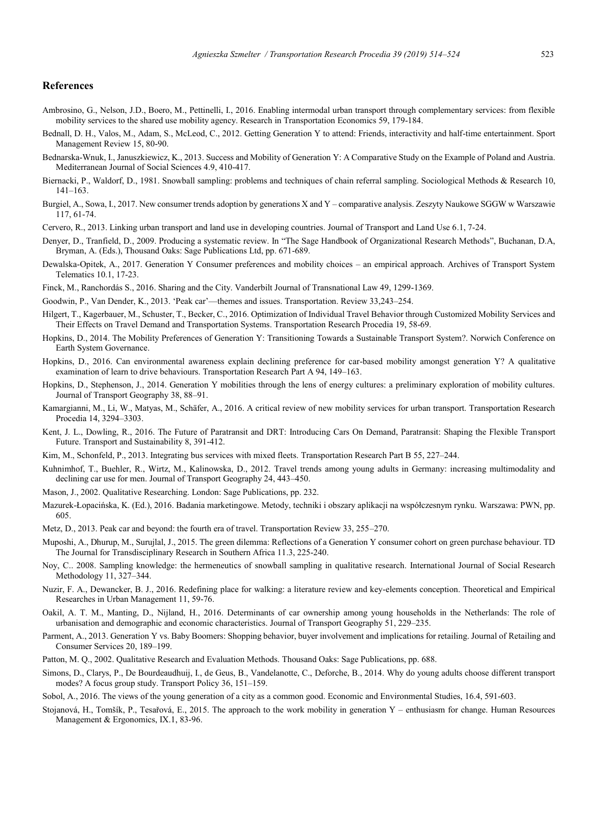### **References**

- Ambrosino, G., Nelson, J.D., Boero, M., Pettinelli, I., 2016. Enabling intermodal urban transport through complementary services: from flexible mobility services to the shared use mobility agency. Research in Transportation Economics 59, 179-184.
- Bednall, D. H., Valos, M., Adam, S., McLeod, C., 2012. Getting Generation Y to attend: Friends, interactivity and half-time entertainment. Sport Management Review 15, 80-90.
- Bednarska-Wnuk, I., Januszkiewicz, K., 2013. Success and Mobility of Generation Y: A Comparative Study on the Example of Poland and Austria. Mediterranean Journal of Social Sciences 4.9, 410-417.
- Biernacki, P., Waldorf, D., 1981. Snowball sampling: problems and techniques of chain referral sampling. Sociological Methods & Research 10, 141–163.
- Burgiel, A., Sowa, I., 2017. New consumer trends adoption by generations X and Y comparative analysis. Zeszyty Naukowe SGGW w Warszawie 117, 61-74.
- Cervero, R., 2013. Linking urban transport and land use in developing countries. Journal of Transport and Land Use 6.1, 7-24.
- Denyer, D., Tranfield, D., 2009. Producing a systematic review. In "The Sage Handbook of Organizational Research Methods", Buchanan, D.A, Bryman, A. (Eds.), Thousand Oaks: Sage Publications Ltd, pp. 671-689.
- Dewalska-Opitek, A., 2017. Generation Y Consumer preferences and mobility choices an empirical approach. Archives of Transport System Telematics 10.1, 17-23.
- Finck, M., Ranchordás S., 2016. Sharing and the City. Vanderbilt Journal of Transnational Law 49, 1299-1369.
- Goodwin, P., Van Dender, K., 2013. 'Peak car'—themes and issues. Transportation. Review 33,243–254.
- Hilgert, T., Kagerbauer, M., Schuster, T., Becker, C., 2016. Optimization of Individual Travel Behavior through Customized Mobility Services and Their Effects on Travel Demand and Transportation Systems. Transportation Research Procedia 19, 58-69.
- Hopkins, D., 2014. The Mobility Preferences of Generation Y: Transitioning Towards a Sustainable Transport System?. Norwich Conference on Earth System Governance.
- Hopkins, D., 2016. Can environmental awareness explain declining preference for car-based mobility amongst generation Y? A qualitative examination of learn to drive behaviours. Transportation Research Part A 94, 149–163.
- Hopkins, D., Stephenson, J., 2014. Generation Y mobilities through the lens of energy cultures: a preliminary exploration of mobility cultures. Journal of Transport Geography 38, 88–91.
- Kamargianni, M., Li, W., Matyas, M., Schäfer, A., 2016. A critical review of new mobility services for urban transport. Transportation Research Procedia 14, 3294–3303.
- Kent, J. L., Dowling, R., 2016. The Future of Paratransit and DRT: Introducing Cars On Demand, Paratransit: Shaping the Flexible Transport Future. Transport and Sustainability 8, 391-412.
- Kim, M., Schonfeld, P., 2013. Integrating bus services with mixed fleets. Transportation Research Part B 55, 227–244.
- Kuhnimhof, T., Buehler, R., Wirtz, M., Kalinowska, D., 2012. Travel trends among young adults in Germany: increasing multimodality and declining car use for men. Journal of Transport Geography 24, 443–450.
- Mason, J., 2002. Qualitative Researching. London: Sage Publications, pp. 232.
- Mazurek-Łopacińska, K. (Ed.), 2016. Badania marketingowe. Metody, techniki i obszary aplikacji na współczesnym rynku. Warszawa: PWN, pp. 605.
- Metz, D., 2013. Peak car and beyond: the fourth era of travel. Transportation Review 33, 255–270.
- Muposhi, A., Dhurup, M., Surujlal, J., 2015. The green dilemma: Reflections of a Generation Y consumer cohort on green purchase behaviour. TD The Journal for Transdisciplinary Research in Southern Africa 11.3, 225-240.
- Noy, C.. 2008. Sampling knowledge: the hermeneutics of snowball sampling in qualitative research. International Journal of Social Research Methodology 11, 327–344.
- Nuzir, F. A., Dewancker, B. J., 2016. Redefining place for walking: a literature review and key-elements conception. Theoretical and Empirical Researches in Urban Management 11, 59-76.
- Oakil, A. T. M., Manting, D., Nijland, H., 2016. Determinants of car ownership among young households in the Netherlands: The role of urbanisation and demographic and economic characteristics. Journal of Transport Geography 51, 229–235.
- Parment, A., 2013. Generation Y vs. Baby Boomers: Shopping behavior, buyer involvement and implications for retailing. Journal of Retailing and Consumer Services 20, 189–199.
- Patton, M. Q., 2002. Qualitative Research and Evaluation Methods. Thousand Oaks: Sage Publications, pp. 688.
- Simons, D., Clarys, P., De Bourdeaudhuij, I., de Geus, B., Vandelanotte, C., Deforche, B., 2014. Why do young adults choose different transport modes? A focus group study. Transport Policy 36, 151–159.
- Sobol, A., 2016. The views of the young generation of a city as a common good. Economic and Environmental Studies, 16.4, 591-603.
- Stojanová, H., Tomšík, P., Tesařová, E., 2015. The approach to the work mobility in generation Y enthusiasm for change. Human Resources Management & Ergonomics, IX.1, 83-96.